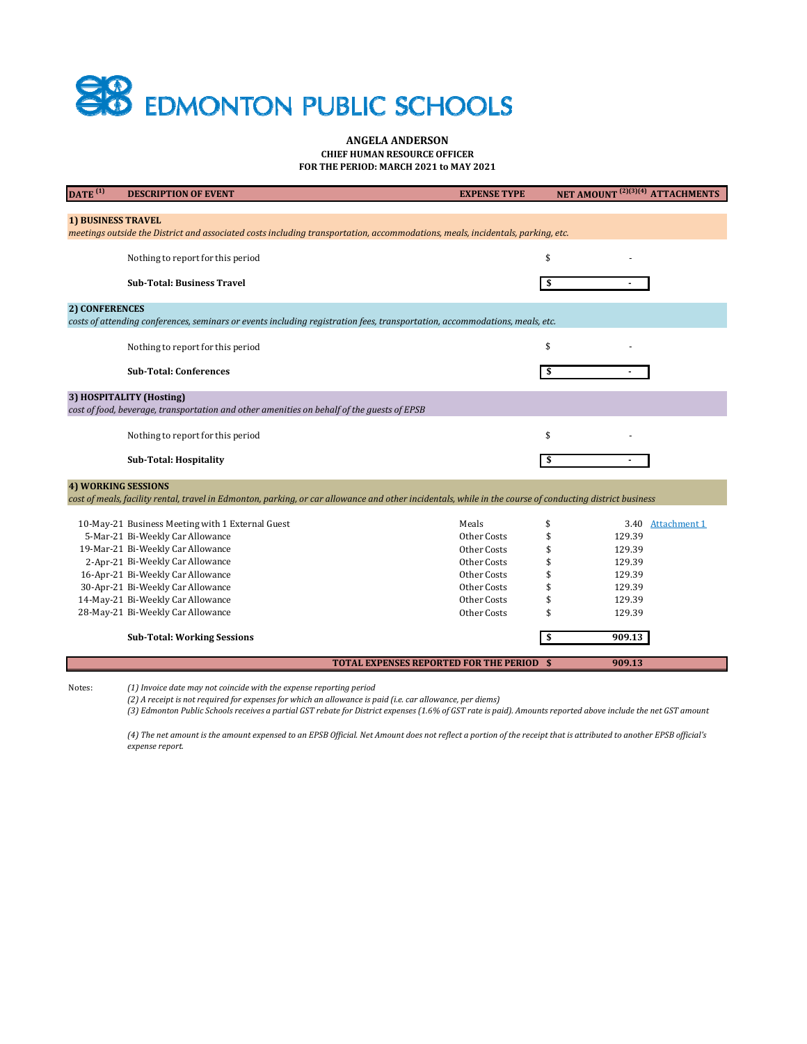## **SB** EDMONTON PUBLIC SCHOOLS

## **ANGELA ANDERSON CHIEF HUMAN RESOURCE OFFICER FOR THE PERIOD: MARCH 2021 to MAY 2021**

| $\overline{DATE}^{(1)}$                                                                                                                                  | <b>DESCRIPTION OF EVENT</b>                                                          | <b>EXPENSE TYPE</b>                              | NET AMOUNT <sup>(2)(3)(4)</sup> ATTACHMENTS |                   |
|----------------------------------------------------------------------------------------------------------------------------------------------------------|--------------------------------------------------------------------------------------|--------------------------------------------------|---------------------------------------------|-------------------|
|                                                                                                                                                          |                                                                                      |                                                  |                                             |                   |
| <b>1) BUSINESS TRAVEL</b>                                                                                                                                |                                                                                      |                                                  |                                             |                   |
| meetings outside the District and associated costs including transportation, accommodations, meals, incidentals, parking, etc.                           |                                                                                      |                                                  |                                             |                   |
|                                                                                                                                                          | Nothing to report for this period                                                    |                                                  | \$                                          |                   |
|                                                                                                                                                          |                                                                                      |                                                  |                                             |                   |
|                                                                                                                                                          | <b>Sub-Total: Business Travel</b>                                                    |                                                  |                                             |                   |
|                                                                                                                                                          |                                                                                      |                                                  |                                             |                   |
| 2) CONFERENCES                                                                                                                                           |                                                                                      |                                                  |                                             |                   |
| costs of attending conferences, seminars or events including registration fees, transportation, accommodations, meals, etc.                              |                                                                                      |                                                  |                                             |                   |
|                                                                                                                                                          | Nothing to report for this period                                                    |                                                  | \$                                          |                   |
|                                                                                                                                                          |                                                                                      |                                                  |                                             |                   |
|                                                                                                                                                          | <b>Sub-Total: Conferences</b>                                                        |                                                  | \$                                          |                   |
|                                                                                                                                                          |                                                                                      |                                                  |                                             |                   |
| 3) HOSPITALITY (Hosting)                                                                                                                                 |                                                                                      |                                                  |                                             |                   |
| cost of food, beverage, transportation and other amenities on behalf of the guests of EPSB                                                               |                                                                                      |                                                  |                                             |                   |
|                                                                                                                                                          |                                                                                      |                                                  | \$                                          |                   |
|                                                                                                                                                          | Nothing to report for this period                                                    |                                                  |                                             |                   |
|                                                                                                                                                          | <b>Sub-Total: Hospitality</b>                                                        |                                                  | \$                                          |                   |
|                                                                                                                                                          |                                                                                      |                                                  |                                             |                   |
| <b>4) WORKING SESSIONS</b>                                                                                                                               |                                                                                      |                                                  |                                             |                   |
| cost of meals, facility rental, travel in Edmonton, parking, or car allowance and other incidentals, while in the course of conducting district business |                                                                                      |                                                  |                                             |                   |
|                                                                                                                                                          |                                                                                      | Meals                                            | \$                                          |                   |
|                                                                                                                                                          | 10-May-21 Business Meeting with 1 External Guest<br>5-Mar-21 Bi-Weekly Car Allowance | Other Costs                                      | 129.39                                      | 3.40 Attachment 1 |
|                                                                                                                                                          | 19-Mar-21 Bi-Weekly Car Allowance                                                    | Other Costs                                      | 129.39                                      |                   |
|                                                                                                                                                          | 2-Apr-21 Bi-Weekly Car Allowance                                                     | Other Costs                                      | 129.39                                      |                   |
|                                                                                                                                                          | 16-Apr-21 Bi-Weekly Car Allowance                                                    | Other Costs                                      | 129.39                                      |                   |
|                                                                                                                                                          | 30-Apr-21 Bi-Weekly Car Allowance                                                    | Other Costs                                      | 129.39                                      |                   |
|                                                                                                                                                          | 14-May-21 Bi-Weekly Car Allowance                                                    | Other Costs                                      | 129.39                                      |                   |
|                                                                                                                                                          | 28-May-21 Bi-Weekly Car Allowance                                                    | Other Costs                                      | 129.39                                      |                   |
|                                                                                                                                                          |                                                                                      |                                                  |                                             |                   |
|                                                                                                                                                          | <b>Sub-Total: Working Sessions</b>                                                   |                                                  | 909.13<br>\$                                |                   |
|                                                                                                                                                          |                                                                                      |                                                  |                                             |                   |
|                                                                                                                                                          |                                                                                      | <b>TOTAL EXPENSES REPORTED FOR THE PERIOD \$</b> | 909.13                                      |                   |
|                                                                                                                                                          |                                                                                      |                                                  |                                             |                   |

Notes: *(1) Invoice date may not coincide with the expense reporting period*

(2) A receipt is not required for expenses for which an allowance is paid (i.e. car allowance, per diems)

(3) Edmonton Public Schools receives a partial GST rebate for District expenses (1.6% of GST rate is paid). Amounts reported above include the net GST amount

(4) The net amount is the amount expensed to an EPSB Official. Net Amount does not reflect a portion of the receipt that is attributed to another EPSB official's *expense report.*